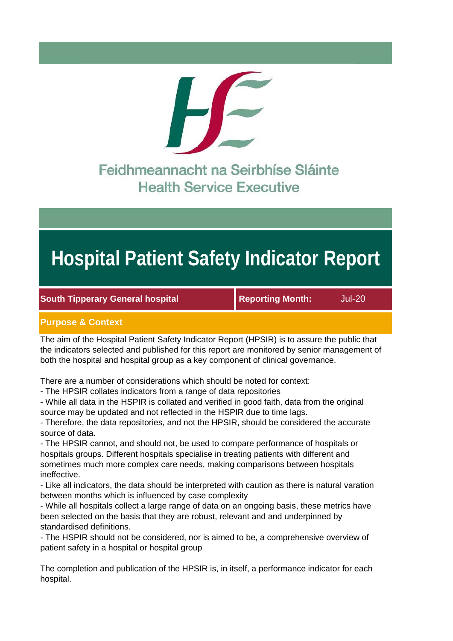

# **Hospital Patient Safety Indicator Report**

**South Tipperary General hospital Month:** Jul-20

# **Purpose & Context**

The aim of the Hospital Patient Safety Indicator Report (HPSIR) is to assure the public that the indicators selected and published for this report are monitored by senior management of both the hospital and hospital group as a key component of clinical governance.

There are a number of considerations which should be noted for context:

- The HPSIR collates indicators from a range of data repositories

- While all data in the HSPIR is collated and verified in good faith, data from the original source may be updated and not reflected in the HSPIR due to time lags.

- Therefore, the data repositories, and not the HPSIR, should be considered the accurate source of data.

- The HPSIR cannot, and should not, be used to compare performance of hospitals or hospitals groups. Different hospitals specialise in treating patients with different and sometimes much more complex care needs, making comparisons between hospitals ineffective.

- Like all indicators, the data should be interpreted with caution as there is natural varation between months which is influenced by case complexity

- While all hospitals collect a large range of data on an ongoing basis, these metrics have been selected on the basis that they are robust, relevant and and underpinned by standardised definitions.

- The HSPIR should not be considered, nor is aimed to be, a comprehensive overview of patient safety in a hospital or hospital group

The completion and publication of the HPSIR is, in itself, a performance indicator for each hospital.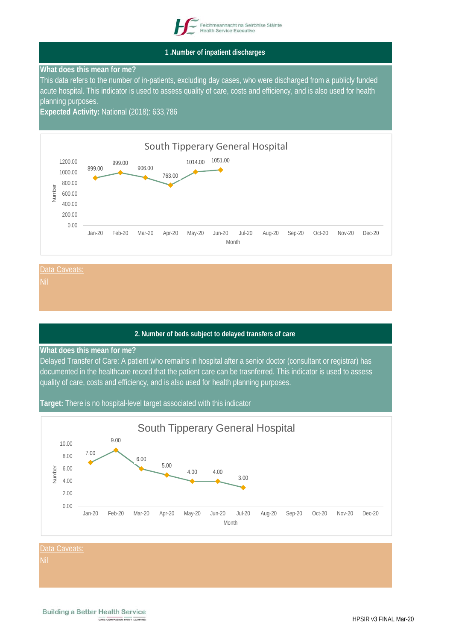

**1 .Number of inpatient discharges**

# **What does this mean for me?**

This data refers to the number of in-patients, excluding day cases, who were discharged from a publicly funded acute hospital. This indicator is used to assess quality of care, costs and efficiency, and is also used for health planning purposes.

**Expected Activity:** National (2018): 633,786



Data Caveats

# **2. Number of beds subject to delayed transfers of care**

# **What does this mean for me?**

Delayed Transfer of Care: A patient who remains in hospital after a senior doctor (consultant or registrar) has documented in the healthcare record that the patient care can be trasnferred. This indicator is used to assess quality of care, costs and efficiency, and is also used for health planning purposes.

**Target:** There is no hospital-level target associated with this indicator

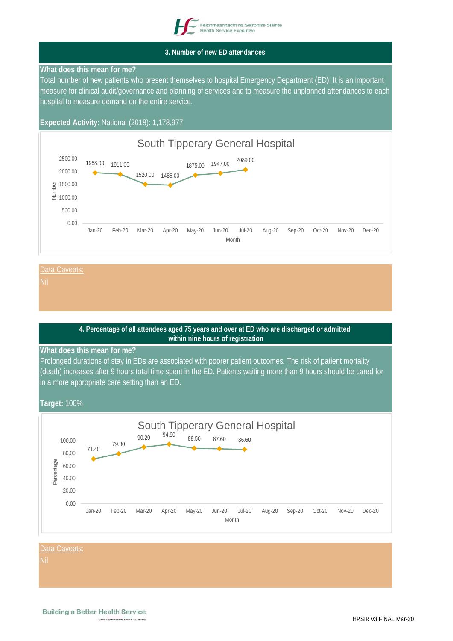

#### **3. Number of new ED attendances**

# **What does this mean for me?**

Total number of new patients who present themselves to hospital Emergency Department (ED). It is an important measure for clinical audit/governance and planning of services and to measure the unplanned attendances to each hospital to measure demand on the entire service.

# **Expected Activity:** National (2018): 1,178,977



#### Data Caveats

# **4. Percentage of all attendees aged 75 years and over at ED who are discharged or admitted within nine hours of registration**

#### **What does this mean for me?**

Prolonged durations of stay in EDs are associated with poorer patient outcomes. The risk of patient mortality (death) increases after 9 hours total time spent in the ED. Patients waiting more than 9 hours should be cared for in a more appropriate care setting than an ED.

# **Target:** 100%



#### Data Caveats:

Nil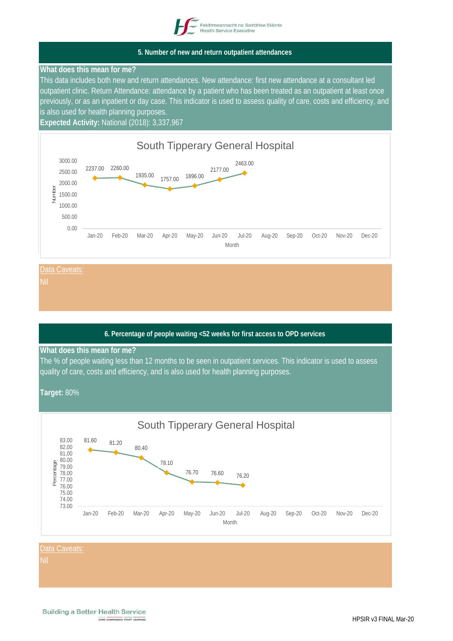

# **5. Number of new and return outpatient attendances**

## **What does this mean for me?**

This data includes both new and return attendances. New attendance: first new attendance at a consultant led outpatient clinic. Return Attendance: attendance by a patient who has been treated as an outpatient at least once previously, or as an inpatient or day case. This indicator is used to assess quality of care, costs and efficiency, and is also used for health planning purposes.

**Expected Activity:** National (2018): 3,337,967





# **6. Percentage of people waiting <52 weeks for first access to OPD services**

#### **What does this mean for me?**

The % of people waiting less than 12 months to be seen in outpatient services. This indicator is used to assess quality of care, costs and efficiency, and is also used for health planning purposes.

**Target:** 80%

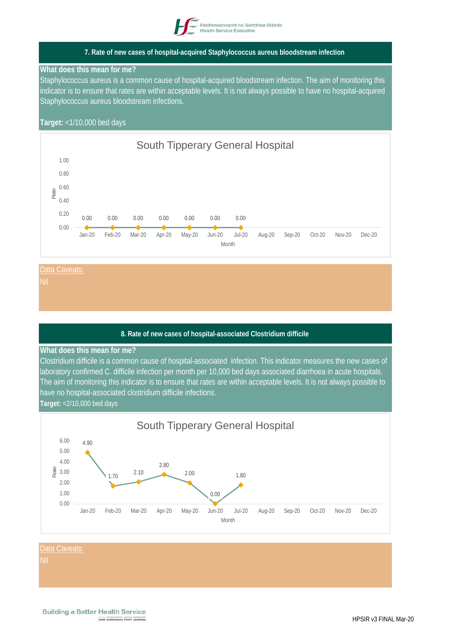

# **7. Rate of new cases of hospital-acquired Staphylococcus aureus bloodstream infection**

#### **What does this mean for me?**

Staphylococcus aureus is a common cause of hospital-acquired bloodstream infection. The aim of monitoring this indicator is to ensure that rates are within acceptable levels. It is not always possible to have no hospital-acquired Staphylococcus aureus bloodstream infections.

# **Target:** <1/10,000 bed days





#### **8. Rate of new cases of hospital-associated Clostridium difficile**

#### **What does this mean for me?**

Clostridium difficile is a common cause of hospital-associated infection. This indicator measures the new cases of laboratory confirmed C. difficile infection per month per 10,000 bed days associated diarrhoea in acute hospitals. The aim of monitoring this indicator is to ensure that rates are within acceptable levels. It is not always possible to have no hospital-associated clostridium difficile infections.

#### **Target:** <2/10,000 bed days

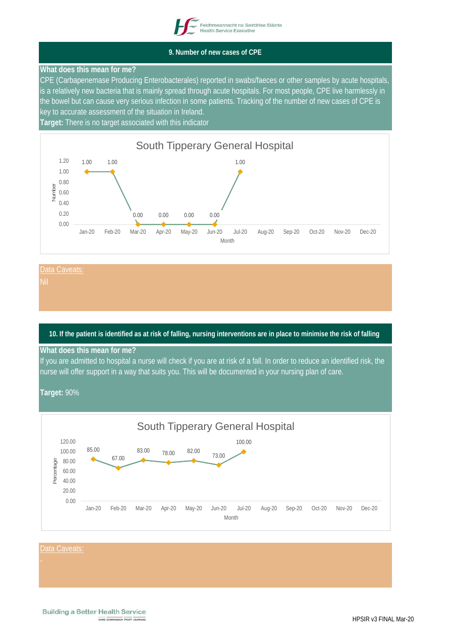

# **9. Number of new cases of CPE**

# **What does this mean for me?**

CPE (Carbapenemase Producing Enterobacterales) reported in swabs/faeces or other samples by acute hospitals, is a relatively new bacteria that is mainly spread through acute hospitals. For most people, CPE live harmlessly in the bowel but can cause very serious infection in some patients. Tracking of the number of new cases of CPE is key to accurate assessment of the situation in Ireland.

**Target:** There is no target associated with this indicator



#### Data Caveats

# **10. If the patient is identified as at risk of falling, nursing interventions are in place to minimise the risk of falling**

#### **What does this mean for me?**

If you are admitted to hospital a nurse will check if you are at risk of a fall. In order to reduce an identified risk, the nurse will offer support in a way that suits you. This will be documented in your nursing plan of care.

**Target:** 90%

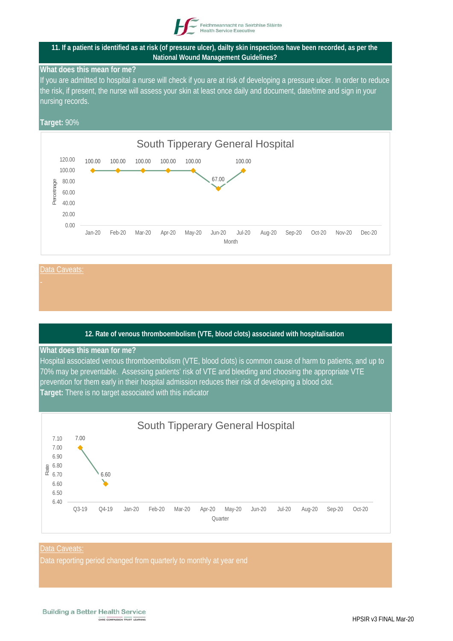

## **11. If a patient is identified as at risk (of pressure ulcer), dailty skin inspections have been recorded, as per the National Wound Management Guidelines?**

# **What does this mean for me?**

If you are admitted to hospital a nurse will check if you are at risk of developing a pressure ulcer. In order to reduce the risk, if present, the nurse will assess your skin at least once daily and document, date/time and sign in your nursing records.

# **Target:** 90%



Data Caveats

# **12. Rate of venous thromboembolism (VTE, blood clots) associated with hospitalisation**

#### **What does this mean for me?**

Hospital associated venous thromboembolism (VTE, blood clots) is common cause of harm to patients, and up to 70% may be preventable. Assessing patients' risk of VTE and bleeding and choosing the appropriate VTE prevention for them early in their hospital admission reduces their risk of developing a blood clot. **Target:** There is no target associated with this indicator



#### Data Caveats:

Data reporting period changed from quarterly to monthly at year end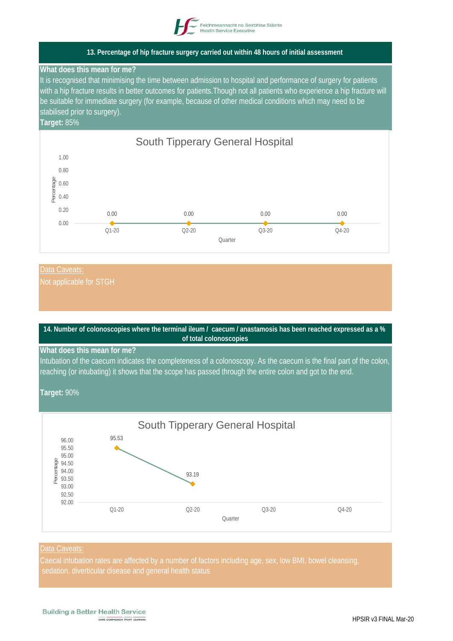

# **13. Percentage of hip fracture surgery carried out within 48 hours of initial assessment**

## **What does this mean for me?**

It is recognised that minimising the time between admission to hospital and performance of surgery for patients with a hip fracture results in better outcomes for patients.Though not all patients who experience a hip fracture will be suitable for immediate surgery (for example, because of other medical conditions which may need to be stabilised prior to surgery).

# **Target:** 85%



# Data Caveats:



**Quarter**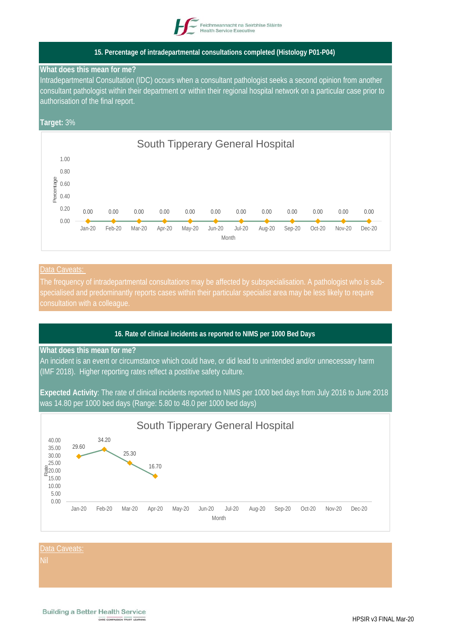

# **15. Percentage of intradepartmental consultations completed (Histology P01-P04)**

#### **What does this mean for me?**

Intradepartmental Consultation (IDC) occurs when a consultant pathologist seeks a second opinion from another consultant pathologist within their department or within their regional hospital network on a particular case prior to authorisation of the final report.

# **Target:** 3%



#### Data Caveats:

# **16. Rate of clinical incidents as reported to NIMS per 1000 Bed Days**

#### **What does this mean for me?**

An incident is an event or circumstance which could have, or did lead to unintended and/or unnecessary harm (IMF 2018). Higher reporting rates reflect a postitive safety culture.

**Expected Activity**: The rate of clinical incidents reported to NIMS per 1000 bed days from July 2016 to June 2018 was 14.80 per 1000 bed days (Range: 5.80 to 48.0 per 1000 bed days)

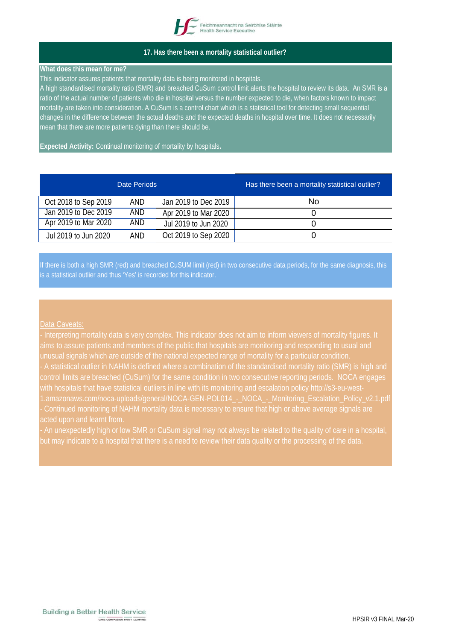

# **17. Has there been a mortality statistical outlier?**

#### **What does this mean for me?**

This indicator assures patients that mortality data is being monitored in hospitals.

A high standardised mortality ratio (SMR) and breached CuSum control limit alerts the hospital to review its data. An SMR is a ratio of the actual number of patients who die in hospital versus the number expected to die, when factors known to impact mortality are taken into consideration. A CuSum is a control chart which is a statistical tool for detecting small sequential changes in the difference between the actual deaths and the expected deaths in hospital over time. It does not necessarily mean that there are more patients dying than there should be.

**Expected Activity:** Continual monitoring of mortality by hospitals**.** 

|                      | Date Periods |                      | Has there been a mortality statistical outlier? |
|----------------------|--------------|----------------------|-------------------------------------------------|
| Oct 2018 to Sep 2019 | AND          | Jan 2019 to Dec 2019 | No                                              |
| Jan 2019 to Dec 2019 | AND.         | Apr 2019 to Mar 2020 |                                                 |
| Apr 2019 to Mar 2020 | AND.         | Jul 2019 to Jun 2020 |                                                 |
| Jul 2019 to Jun 2020 | AND          | Oct 2019 to Sep 2020 | O                                               |

If there is both a high SMR (red) and breached CuSUM limit (red) in two consecutive data periods, for the same diagnosis, this is a statistical outlier and thus 'Yes' is recorded for this indicator.

# Data Caveats:

- Interpreting mortality data is very complex. This indicator does not aim to inform viewers of mortality figures. It unusual signals which are outside of the national expected range of mortality for a particular condition.

- An unexpectedly high or low SMR or CuSum signal may not always be related to the quality of care in a hospital, but may indicate to a hospital that there is a need to review their data quality or the processing of the data.